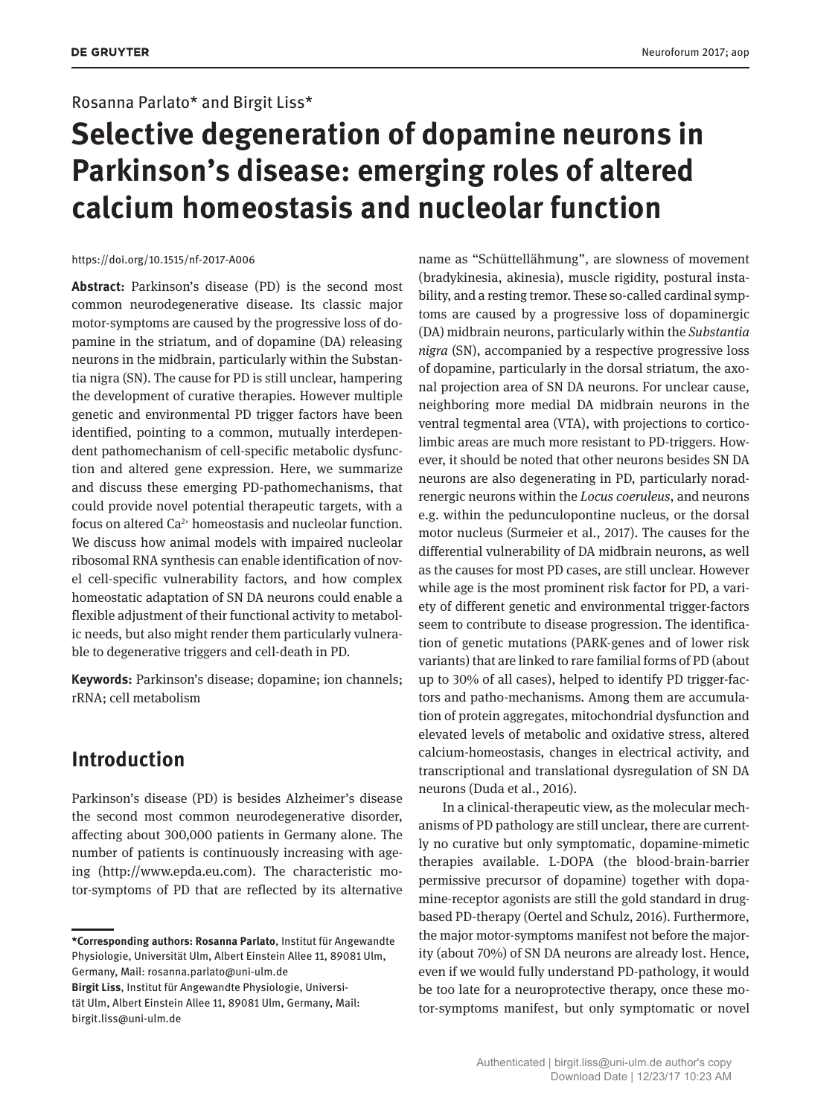#### Rosanna Parlato\* and Birgit Liss\*

# **Selective degeneration of dopamine neurons in Parkinson's disease: emerging roles of altered calcium homeostasis and nucleolar function**

https://doi.org/10.1515/nf-2017-A006

**Abstract:** Parkinson's disease (PD) is the second most common neurodegenerative disease. Its classic major motor-symptoms are caused by the progressive loss of dopamine in the striatum, and of dopamine (DA) releasing neurons in the midbrain, particularly within the Substantia nigra (SN). The cause for PD is still unclear, hampering the development of curative therapies. However multiple genetic and environmental PD trigger factors have been identified, pointing to a common, mutually interdependent pathomechanism of cell-specific metabolic dysfunction and altered gene expression. Here, we summarize and discuss these emerging PD-pathomechanisms, that could provide novel potential therapeutic targets, with a focus on altered Ca2+ homeostasis and nucleolar function. We discuss how animal models with impaired nucleolar ribosomal RNA synthesis can enable identification of novel cell-specific vulnerability factors, and how complex homeostatic adaptation of SN DA neurons could enable a flexible adjustment of their functional activity to metabolic needs, but also might render them particularly vulnerable to degenerative triggers and cell-death in PD.

**Keywords:** Parkinson's disease; dopamine; ion channels; rRNA; cell metabolism

#### **Introduction**

Parkinson's disease (PD) is besides Alzheimer's disease the second most common neurodegenerative disorder, affecting about 300,000 patients in Germany alone. The number of patients is continuously increasing with ageing (http://www.epda.eu.com). The characteristic motor-symptoms of PD that are reflected by its alternative

**Birgit Liss**, Institut für Angewandte Physiologie, Universität Ulm, Albert Einstein Allee 11, 89081 Ulm, Germany, Mail: birgit.liss@uni-ulm.de

name as "Schüttellähmung", are slowness of movement (bradykinesia, akinesia), muscle rigidity, postural instability, and a resting tremor. These so-called cardinal symptoms are caused by a progressive loss of dopaminergic (DA) midbrain neurons, particularly within the *Substantia nigra* (SN), accompanied by a respective progressive loss of dopamine, particularly in the dorsal striatum, the axonal projection area of SN DA neurons. For unclear cause, neighboring more medial DA midbrain neurons in the ventral tegmental area (VTA), with projections to corticolimbic areas are much more resistant to PD-triggers. However, it should be noted that other neurons besides SN DA neurons are also degenerating in PD, particularly noradrenergic neurons within the *Locus coeruleus*, and neurons e.g. within the pedunculopontine nucleus, or the dorsal motor nucleus (Surmeier et al., 2017). The causes for the differential vulnerability of DA midbrain neurons, as well as the causes for most PD cases, are still unclear. However while age is the most prominent risk factor for PD, a variety of different genetic and environmental trigger-factors seem to contribute to disease progression. The identification of genetic mutations (PARK-genes and of lower risk variants) that are linked to rare familial forms of PD (about up to 30% of all cases), helped to identify PD trigger-factors and patho-mechanisms. Among them are accumulation of protein aggregates, mitochondrial dysfunction and elevated levels of metabolic and oxidative stress, altered calcium-homeostasis, changes in electrical activity, and transcriptional and translational dysregulation of SN DA neurons (Duda et al., 2016).

In a clinical-therapeutic view, as the molecular mechanisms of PD pathology are still unclear, there are currently no curative but only symptomatic, dopamine-mimetic therapies available. L-DOPA (the blood-brain-barrier permissive precursor of dopamine) together with dopamine-receptor agonists are still the gold standard in drugbased PD-therapy (Oertel and Schulz, 2016). Furthermore, the major motor-symptoms manifest not before the majority (about 70%) of SN DA neurons are already lost. Hence, even if we would fully understand PD-pathology, it would be too late for a neuroprotective therapy, once these motor-symptoms manifest, but only symptomatic or novel

**<sup>\*</sup>Corresponding authors: Rosanna Parlato**, Institut für Angewandte Physiologie, Universität Ulm, Albert Einstein Allee 11, 89081 Ulm, Germany, Mail: rosanna.parlato@uni-ulm.de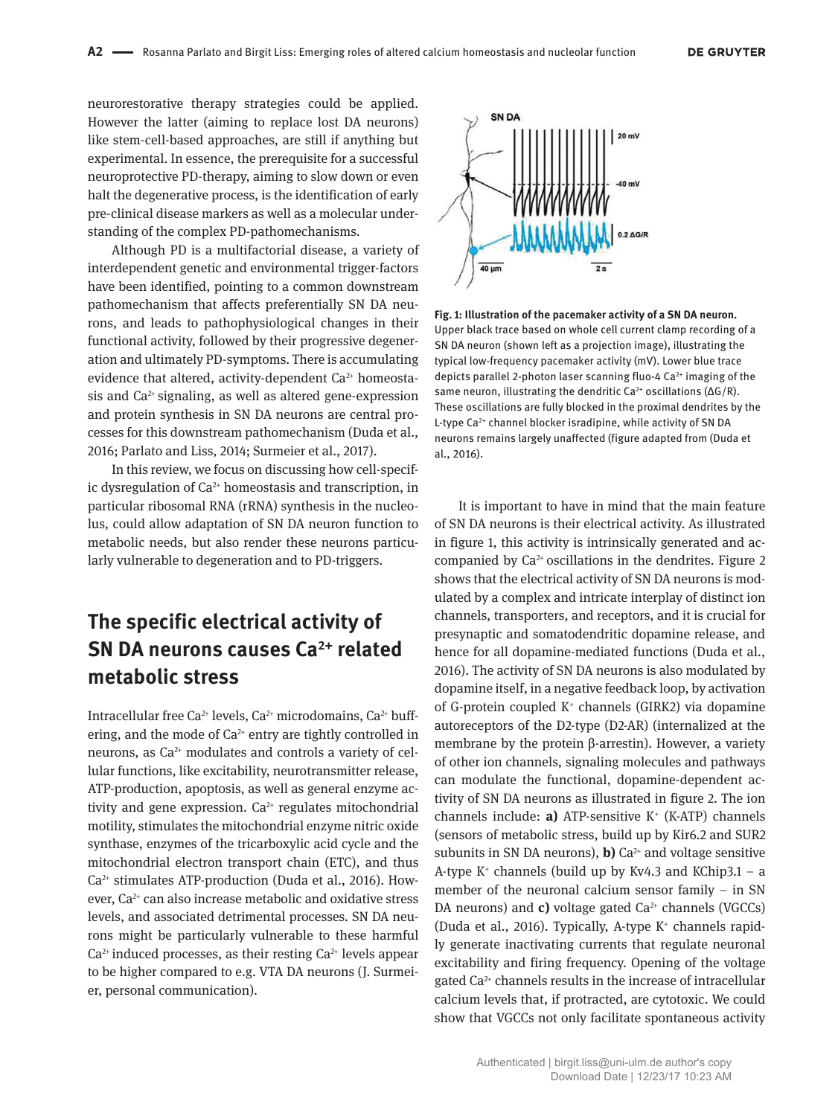neurorestorative therapy strategies could be applied. However the latter (aiming to replace lost DA neurons) like stem-cell-based approaches, are still if anything but experimental. In essence, the prerequisite for a successful neuroprotective PD-therapy, aiming to slow down or even halt the degenerative process, is the identification of early pre-clinical disease markers as well as a molecular understanding of the complex PD-pathomechanisms.

Although PD is a multifactorial disease, a variety of interdependent genetic and environmental trigger-factors have been identified, pointing to a common downstream pathomechanism that affects preferentially SN DA neurons, and leads to pathophysiological changes in their functional activity, followed by their progressive degeneration and ultimately PD-symptoms. There is accumulating evidence that altered, activity-dependent  $Ca<sup>2+</sup>$  homeostasis and Ca2+ signaling, as well as altered gene-expression and protein synthesis in SN DA neurons are central processes for this downstream pathomechanism (Duda et al., 2016; Parlato and Liss, 2014; Surmeier et al., 2017).

In this review, we focus on discussing how cell-specific dysregulation of  $Ca^{2+}$  homeostasis and transcription, in particular ribosomal RNA (rRNA) synthesis in the nucleolus, could allow adaptation of SN DA neuron function to metabolic needs, but also render these neurons particularly vulnerable to degeneration and to PD-triggers.

## **The specific electrical activity of SN DA neurons causes Ca<sup>2+</sup> related metabolic stress**

Intracellular free Ca<sup>2+</sup> levels, Ca<sup>2+</sup> microdomains, Ca<sup>2+</sup> buffering, and the mode of  $Ca^{2+}$  entry are tightly controlled in neurons, as Ca<sup>2+</sup> modulates and controls a variety of cellular functions, like excitability, neurotransmitter release, ATP-production, apoptosis, as well as general enzyme activity and gene expression.  $Ca<sup>2+</sup>$  regulates mitochondrial motility, stimulates the mitochondrial enzyme nitric oxide synthase, enzymes of the tricarboxylic acid cycle and the mitochondrial electron transport chain (ETC), and thus  $Ca<sup>2+</sup>$  stimulates ATP-production (Duda et al., 2016). However, Ca2+ can also increase metabolic and oxidative stress levels, and associated detrimental processes. SN DA neurons might be particularly vulnerable to these harmful  $Ca<sup>2+</sup> induced processes, as their resting Ca<sup>2+</sup> levels appear$ to be higher compared to e.g. VTA DA neurons (J. Surmeier, personal communication).



**Fig. 1: Illustration of the pacemaker activity of a SN DA neuron.** Upper black trace based on whole cell current clamp recording of a SN DA neuron (shown left as a projection image), illustrating the typical low-frequency pacemaker activity (mV). Lower blue trace depicts parallel 2-photon laser scanning fluo-4  $Ca<sup>2+</sup>$  imaging of the same neuron, illustrating the dendritic Ca<sup>2+</sup> oscillations (△G/R). These oscillations are fully blocked in the proximal dendrites by the L-type Ca<sup>2+</sup> channel blocker isradipine, while activity of SN DA neurons remains largely unaffected (figure adapted from (Duda et al., 2016).

It is important to have in mind that the main feature of SN DA neurons is their electrical activity. As illustrated in figure 1, this activity is intrinsically generated and accompanied by  $Ca<sup>2+</sup>$  oscillations in the dendrites. Figure 2 shows that the electrical activity of SN DA neurons is modulated by a complex and intricate interplay of distinct ion channels, transporters, and receptors, and it is crucial for presynaptic and somatodendritic dopamine release, and hence for all dopamine-mediated functions (Duda et al., 2016). The activity of SN DA neurons is also modulated by dopamine itself, in a negative feedback loop, by activation of G-protein coupled  $K^+$  channels (GIRK2) via dopamine autoreceptors of the D2-type (D2-AR) (internalized at the membrane by the protein β-arrestin). However, a variety of other ion channels, signaling molecules and pathways can modulate the functional, dopamine-dependent activity of SN DA neurons as illustrated in figure 2. The ion channels include: **a)** ATP-sensitive K+ (K-ATP) channels (sensors of metabolic stress, build up by Kir6.2 and SUR2 subunits in SN DA neurons), **b)**  $Ca^{2+}$  and voltage sensitive A-type  $K^+$  channels (build up by Kv4.3 and KChip3.1 – a member of the neuronal calcium sensor family – in SN DA neurons) and **c)** voltage gated Ca<sup>2+</sup> channels (VGCCs) (Duda et al., 2016). Typically, A-type  $K^*$  channels rapidly generate inactivating currents that regulate neuronal excitability and firing frequency. Opening of the voltage gated Ca<sup>2+</sup> channels results in the increase of intracellular calcium levels that, if protracted, are cytotoxic. We could show that VGCCs not only facilitate spontaneous activity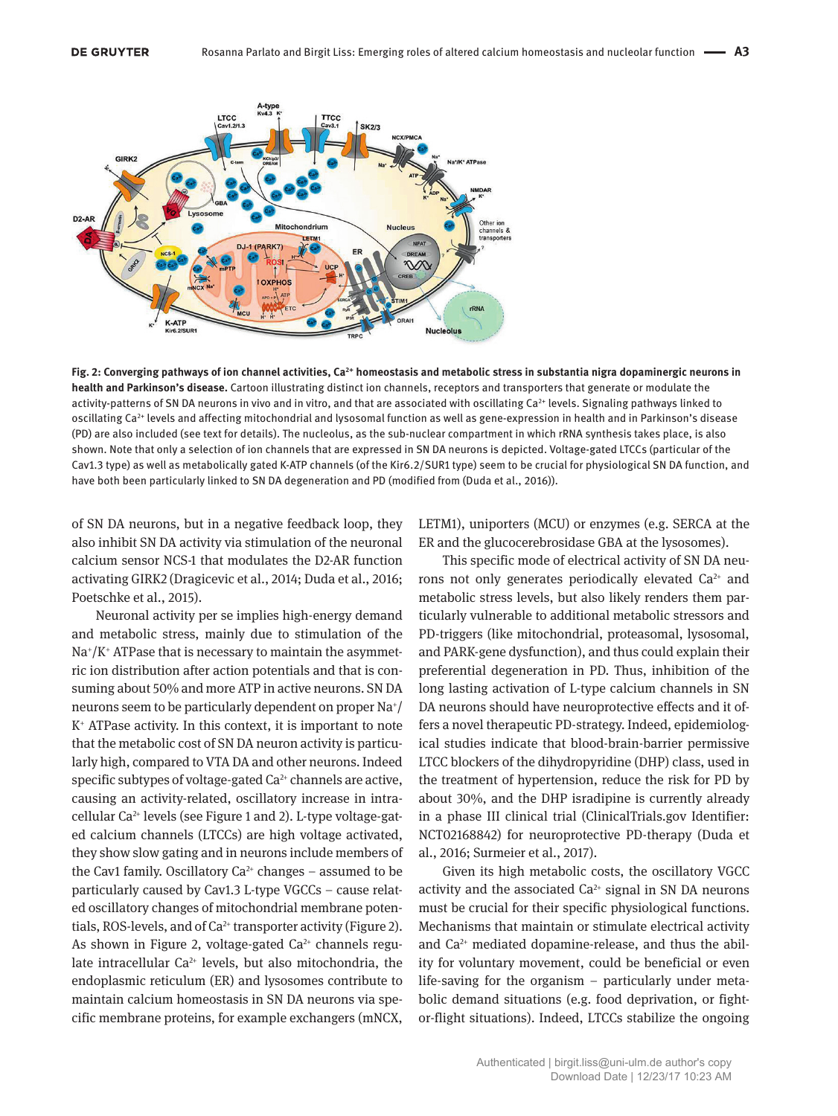

Fig. 2: Converging pathways of ion channel activities, Ca<sup>2+</sup> homeostasis and metabolic stress in substantia nigra dopaminergic neurons in **health and Parkinson's disease.** Cartoon illustrating distinct ion channels, receptors and transporters that generate or modulate the activity-patterns of SN DA neurons in vivo and in vitro, and that are associated with oscillating Ca<sup>2+</sup> levels. Signaling pathways linked to oscillating Ca<sup>2+</sup> levels and affecting mitochondrial and lysosomal function as well as gene-expression in health and in Parkinson's disease (PD) are also included (see text for details). The nucleolus, as the sub-nuclear compartment in which rRNA synthesis takes place, is also shown. Note that only a selection of ion channels that are expressed in SN DA neurons is depicted. Voltage-gated LTCCs (particular of the Cav1.3 type) as well as metabolically gated K-ATP channels (of the Kir6.2/SUR1 type) seem to be crucial for physiological SN DA function, and have both been particularly linked to SN DA degeneration and PD (modified from (Duda et al., 2016)).

of SN DA neurons, but in a negative feedback loop, they also inhibit SN DA activity via stimulation of the neuronal calcium sensor NCS-1 that modulates the D2-AR function activating GIRK2 (Dragicevic et al., 2014; Duda et al., 2016; Poetschke et al., 2015).

Neuronal activity per se implies high-energy demand and metabolic stress, mainly due to stimulation of the  $Na<sup>+</sup>/K<sup>+</sup>$  ATPase that is necessary to maintain the asymmetric ion distribution after action potentials and that is consuming about 50% and more ATP in active neurons. SN DA neurons seem to be particularly dependent on proper Na+/  $K^+$  ATPase activity. In this context, it is important to note that the metabolic cost of SN DA neuron activity is particularly high, compared to VTA DA and other neurons. Indeed specific subtypes of voltage-gated  $Ca<sup>2+</sup>$  channels are active, causing an activity-related, oscillatory increase in intracellular Ca2+ levels (see Figure 1 and 2). L-type voltage-gated calcium channels (LTCCs) are high voltage activated, they show slow gating and in neurons include members of the Cav1 family. Oscillatory  $Ca^{2+}$  changes – assumed to be particularly caused by Cav1.3 L-type VGCCs – cause related oscillatory changes of mitochondrial membrane potentials, ROS-levels, and of  $Ca<sup>2+</sup>$  transporter activity (Figure 2). As shown in Figure 2, voltage-gated  $Ca<sup>2+</sup>$  channels regulate intracellular  $Ca^{2+}$  levels, but also mitochondria, the endoplasmic reticulum (ER) and lysosomes contribute to maintain calcium homeostasis in SN DA neurons via specific membrane proteins, for example exchangers (mNCX,

LETM1), uniporters (MCU) or enzymes (e.g. SERCA at the ER and the glucocerebrosidase GBA at the lysosomes).

This specific mode of electrical activity of SN DA neurons not only generates periodically elevated  $Ca<sup>2+</sup>$  and metabolic stress levels, but also likely renders them particularly vulnerable to additional metabolic stressors and PD-triggers (like mitochondrial, proteasomal, lysosomal, and PARK-gene dysfunction), and thus could explain their preferential degeneration in PD. Thus, inhibition of the long lasting activation of L-type calcium channels in SN DA neurons should have neuroprotective effects and it offers a novel therapeutic PD-strategy. Indeed, epidemiological studies indicate that blood-brain-barrier permissive LTCC blockers of the dihydropyridine (DHP) class, used in the treatment of hypertension, reduce the risk for PD by about 30%, and the DHP isradipine is currently already in a phase III clinical trial (ClinicalTrials.gov Identifier: NCT02168842) for neuroprotective PD-therapy (Duda et al., 2016; Surmeier et al., 2017).

Given its high metabolic costs, the oscillatory VGCC activity and the associated  $Ca<sup>2+</sup>$  signal in SN DA neurons must be crucial for their specific physiological functions. Mechanisms that maintain or stimulate electrical activity and  $Ca<sup>2+</sup>$  mediated dopamine-release, and thus the ability for voluntary movement, could be beneficial or even life-saving for the organism – particularly under metabolic demand situations (e.g. food deprivation, or fightor-flight situations). Indeed, LTCCs stabilize the ongoing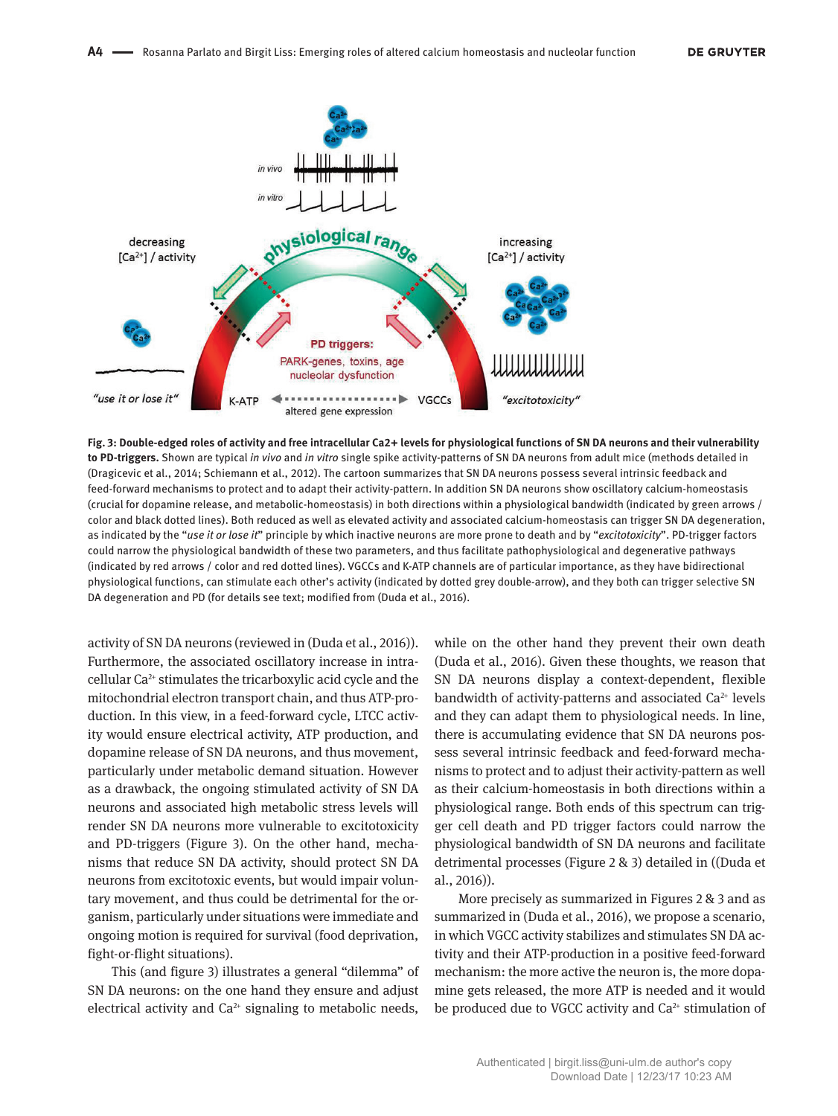



activity of SN DA neurons (reviewed in (Duda et al., 2016)). Furthermore, the associated oscillatory increase in intracellular Ca2+ stimulates the tricarboxylic acid cycle and the mitochondrial electron transport chain, and thus ATP-production. In this view, in a feed-forward cycle, LTCC activity would ensure electrical activity, ATP production, and dopamine release of SN DA neurons, and thus movement, particularly under metabolic demand situation. However as a drawback, the ongoing stimulated activity of SN DA neurons and associated high metabolic stress levels will render SN DA neurons more vulnerable to excitotoxicity and PD-triggers (Figure 3). On the other hand, mechanisms that reduce SN DA activity, should protect SN DA neurons from excitotoxic events, but would impair voluntary movement, and thus could be detrimental for the organism, particularly under situations were immediate and ongoing motion is required for survival (food deprivation, fight-or-flight situations).

This (and figure 3) illustrates a general "dilemma" of SN DA neurons: on the one hand they ensure and adjust electrical activity and  $Ca^{2+}$  signaling to metabolic needs,

while on the other hand they prevent their own death (Duda et al., 2016). Given these thoughts, we reason that SN DA neurons display a context-dependent, flexible bandwidth of activity-patterns and associated  $Ca<sup>2+</sup>$  levels and they can adapt them to physiological needs. In line, there is accumulating evidence that SN DA neurons possess several intrinsic feedback and feed-forward mechanisms to protect and to adjust their activity-pattern as well as their calcium-homeostasis in both directions within a physiological range. Both ends of this spectrum can trigger cell death and PD trigger factors could narrow the physiological bandwidth of SN DA neurons and facilitate detrimental processes (Figure 2 & 3) detailed in ((Duda et al., 2016)).

More precisely as summarized in Figures 2 & 3 and as summarized in (Duda et al., 2016), we propose a scenario, in which VGCC activity stabilizes and stimulates SN DA activity and their ATP-production in a positive feed-forward mechanism: the more active the neuron is, the more dopamine gets released, the more ATP is needed and it would be produced due to VGCC activity and  $Ca<sup>2+</sup>$  stimulation of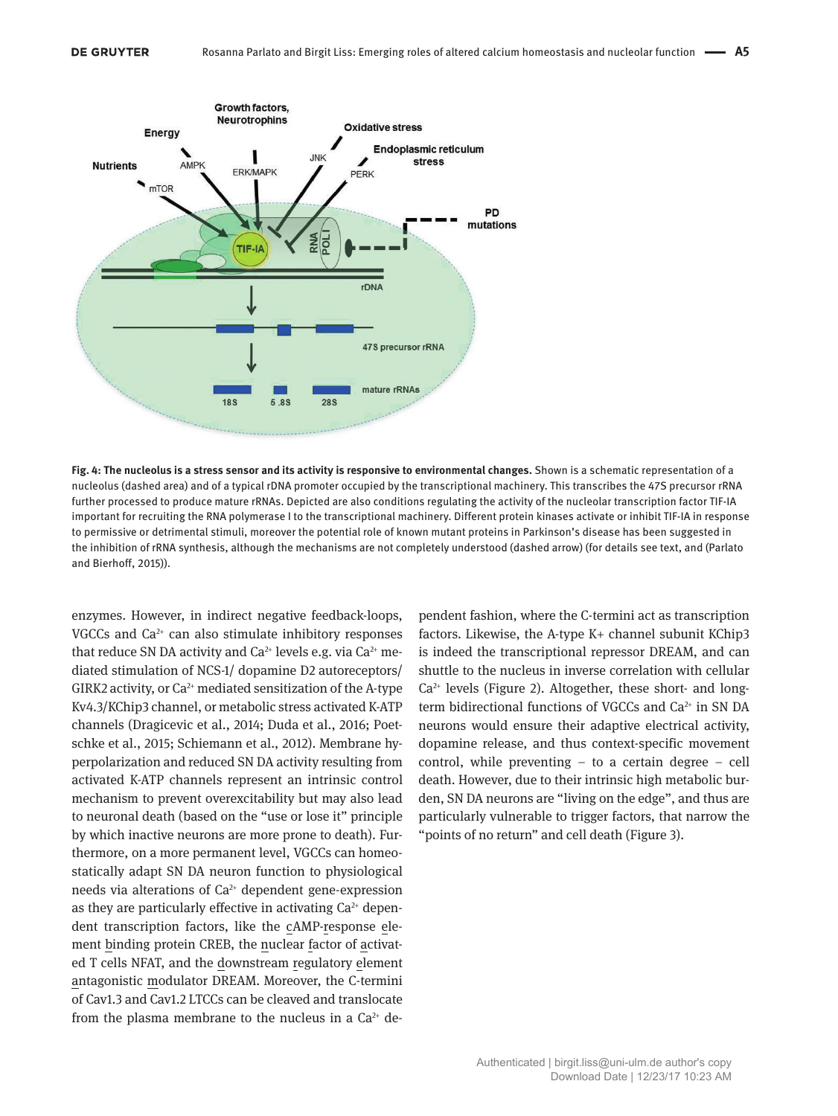

**Fig. 4: The nucleolus is a stress sensor and its activity is responsive to environmental changes.** Shown is a schematic representation of a nucleolus (dashed area) and of a typical rDNA promoter occupied by the transcriptional machinery. This transcribes the 47S precursor rRNA further processed to produce mature rRNAs. Depicted are also conditions regulating the activity of the nucleolar transcription factor TIF-IA important for recruiting the RNA polymerase I to the transcriptional machinery. Different protein kinases activate or inhibit TIF-IA in response to permissive or detrimental stimuli, moreover the potential role of known mutant proteins in Parkinson's disease has been suggested in the inhibition of rRNA synthesis, although the mechanisms are not completely understood (dashed arrow) (for details see text, and (Parlato and Bierhoff, 2015)).

enzymes. However, in indirect negative feedback-loops, VGCCs and Ca<sup>2+</sup> can also stimulate inhibitory responses that reduce SN DA activity and  $Ca^{2+}$  levels e.g. via  $Ca^{2+}$  mediated stimulation of NCS-1/ dopamine D2 autoreceptors/ GIRK2 activity, or  $Ca^{2+}$  mediated sensitization of the A-type Kv4.3/KChip3 channel, or metabolic stress activated K-ATP channels (Dragicevic et al., 2014; Duda et al., 2016; Poetschke et al., 2015; Schiemann et al., 2012). Membrane hyperpolarization and reduced SN DA activity resulting from activated K-ATP channels represent an intrinsic control mechanism to prevent overexcitability but may also lead to neuronal death (based on the "use or lose it" principle by which inactive neurons are more prone to death). Furthermore, on a more permanent level, VGCCs can homeostatically adapt SN DA neuron function to physiological needs via alterations of  $Ca<sup>2+</sup>$  dependent gene-expression as they are particularly effective in activating  $Ca<sup>2+</sup>$  dependent transcription factors, like the cAMP-response element binding protein CREB, the nuclear factor of activated T cells NFAT, and the downstream regulatory element antagonistic modulator DREAM. Moreover, the C-termini of Cav1.3 and Cav1.2 LTCCs can be cleaved and translocate from the plasma membrane to the nucleus in a  $Ca^{2+}$  de-

pendent fashion, where the C-termini act as transcription factors. Likewise, the A-type K+ channel subunit KChip3 is indeed the transcriptional repressor DREAM, and can shuttle to the nucleus in inverse correlation with cellular  $Ca<sup>2+</sup>$  levels (Figure 2). Altogether, these short- and longterm bidirectional functions of VGCCs and  $Ca<sup>2+</sup>$  in SN DA neurons would ensure their adaptive electrical activity, dopamine release, and thus context-specific movement control, while preventing  $-$  to a certain degree  $-$  cell death. However, due to their intrinsic high metabolic burden, SN DA neurons are "living on the edge", and thus are particularly vulnerable to trigger factors, that narrow the "points of no return" and cell death (Figure 3).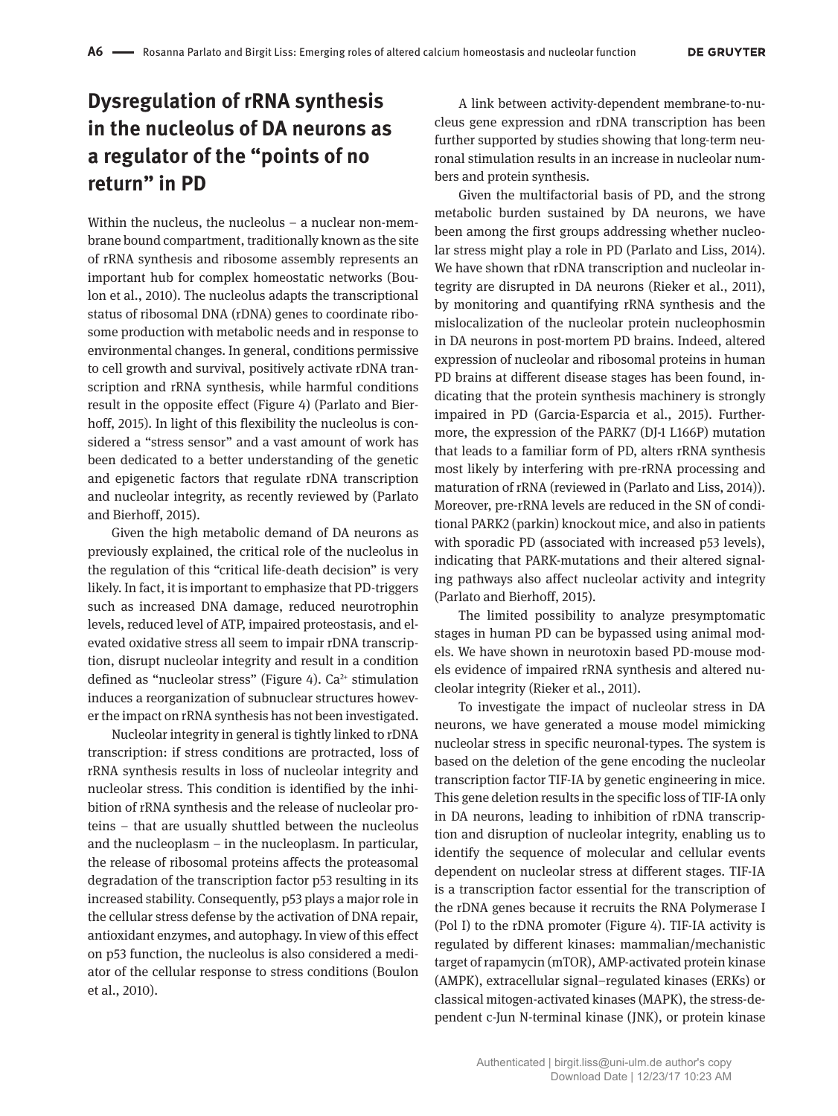# **Dysregulation of rRNA synthesis in the nucleolus of DA neurons as a regulator of the "points of no return" in PD**

Within the nucleus, the nucleolus – a nuclear non-membrane bound compartment, traditionally known as the site of rRNA synthesis and ribosome assembly represents an important hub for complex homeostatic networks (Boulon et al., 2010). The nucleolus adapts the transcriptional status of ribosomal DNA (rDNA) genes to coordinate ribosome production with metabolic needs and in response to environmental changes. In general, conditions permissive to cell growth and survival, positively activate rDNA transcription and rRNA synthesis, while harmful conditions result in the opposite effect (Figure 4) (Parlato and Bierhoff, 2015). In light of this flexibility the nucleolus is considered a "stress sensor" and a vast amount of work has been dedicated to a better understanding of the genetic and epigenetic factors that regulate rDNA transcription and nucleolar integrity, as recently reviewed by (Parlato and Bierhoff, 2015).

Given the high metabolic demand of DA neurons as previously explained, the critical role of the nucleolus in the regulation of this "critical life-death decision" is very likely. In fact, it is important to emphasize that PD-triggers such as increased DNA damage, reduced neurotrophin levels, reduced level of ATP, impaired proteostasis, and elevated oxidative stress all seem to impair rDNA transcription, disrupt nucleolar integrity and result in a condition defined as "nucleolar stress" (Figure 4).  $Ca<sup>2+</sup>$  stimulation induces a reorganization of subnuclear structures however the impact on rRNA synthesis has not been investigated.

Nucleolar integrity in general is tightly linked to rDNA transcription: if stress conditions are protracted, loss of rRNA synthesis results in loss of nucleolar integrity and nucleolar stress. This condition is identified by the inhibition of rRNA synthesis and the release of nucleolar proteins – that are usually shuttled between the nucleolus and the nucleoplasm – in the nucleoplasm. In particular, the release of ribosomal proteins affects the proteasomal degradation of the transcription factor p53 resulting in its increased stability. Consequently, p53 plays a major role in the cellular stress defense by the activation of DNA repair, antioxidant enzymes, and autophagy. In view of this effect on p53 function, the nucleolus is also considered a mediator of the cellular response to stress conditions (Boulon et al., 2010).

A link between activity-dependent membrane-to-nucleus gene expression and rDNA transcription has been further supported by studies showing that long-term neuronal stimulation results in an increase in nucleolar numbers and protein synthesis.

Given the multifactorial basis of PD, and the strong metabolic burden sustained by DA neurons, we have been among the first groups addressing whether nucleolar stress might play a role in PD (Parlato and Liss, 2014). We have shown that rDNA transcription and nucleolar integrity are disrupted in DA neurons (Rieker et al., 2011), by monitoring and quantifying rRNA synthesis and the mislocalization of the nucleolar protein nucleophosmin in DA neurons in post-mortem PD brains. Indeed, altered expression of nucleolar and ribosomal proteins in human PD brains at different disease stages has been found, indicating that the protein synthesis machinery is strongly impaired in PD (Garcia-Esparcia et al., 2015). Furthermore, the expression of the PARK7 (DJ-1 L166P) mutation that leads to a familiar form of PD, alters rRNA synthesis most likely by interfering with pre-rRNA processing and maturation of rRNA (reviewed in (Parlato and Liss, 2014)). Moreover, pre-rRNA levels are reduced in the SN of conditional PARK2 (parkin) knockout mice, and also in patients with sporadic PD (associated with increased p53 levels), indicating that PARK-mutations and their altered signaling pathways also affect nucleolar activity and integrity (Parlato and Bierhoff, 2015).

The limited possibility to analyze presymptomatic stages in human PD can be bypassed using animal models. We have shown in neurotoxin based PD-mouse models evidence of impaired rRNA synthesis and altered nucleolar integrity (Rieker et al., 2011).

To investigate the impact of nucleolar stress in DA neurons, we have generated a mouse model mimicking nucleolar stress in specific neuronal-types. The system is based on the deletion of the gene encoding the nucleolar transcription factor TIF-IA by genetic engineering in mice. This gene deletion results in the specific loss of TIF-IA only in DA neurons, leading to inhibition of rDNA transcription and disruption of nucleolar integrity, enabling us to identify the sequence of molecular and cellular events dependent on nucleolar stress at different stages. TIF-IA is a transcription factor essential for the transcription of the rDNA genes because it recruits the RNA Polymerase I (Pol I) to the rDNA promoter (Figure 4). TIF-IA activity is regulated by different kinases: mammalian/mechanistic target of rapamycin (mTOR), AMP-activated protein kinase (AMPK), extracellular signal–regulated kinases (ERKs) or classical mitogen-activated kinases (MAPK), the stress-dependent c-Jun N-terminal kinase (JNK), or protein kinase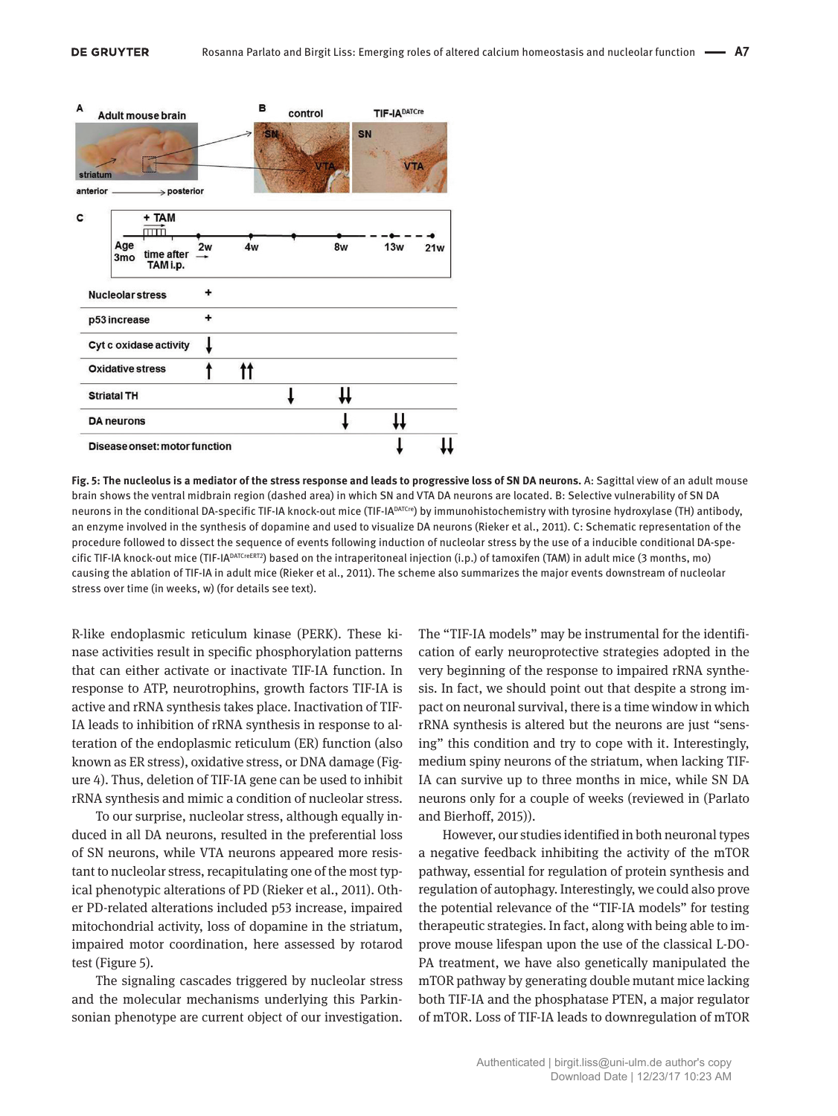

**Fig. 5: The nucleolus is a mediator of the stress response and leads to progressive loss of SN DA neurons.** A: Sagittal view of an adult mouse brain shows the ventral midbrain region (dashed area) in which SN and VTA DA neurons are located. B: Selective vulnerability of SN DA neurons in the conditional DA-specific TIF-IA knock-out mice (TIF-IA<sup>DATCre</sup>) by immunohistochemistry with tyrosine hydroxylase (TH) antibody, an enzyme involved in the synthesis of dopamine and used to visualize DA neurons (Rieker et al., 2011). C: Schematic representation of the procedure followed to dissect the sequence of events following induction of nucleolar stress by the use of a inducible conditional DA-specific TIF-IA knock-out mice (TIF-IADATCreERT2) based on the intraperitoneal injection (i.p.) of tamoxifen (TAM) in adult mice (3 months, mo) causing the ablation of TIF-IA in adult mice (Rieker et al., 2011). The scheme also summarizes the major events downstream of nucleolar stress over time (in weeks, w) (for details see text).

R-like endoplasmic reticulum kinase (PERK). These kinase activities result in specific phosphorylation patterns that can either activate or inactivate TIF-IA function. In response to ATP, neurotrophins, growth factors TIF-IA is active and rRNA synthesis takes place. Inactivation of TIF-IA leads to inhibition of rRNA synthesis in response to alteration of the endoplasmic reticulum (ER) function (also known as ER stress), oxidative stress, or DNA damage (Figure 4). Thus, deletion of TIF-IA gene can be used to inhibit rRNA synthesis and mimic a condition of nucleolar stress.

To our surprise, nucleolar stress, although equally induced in all DA neurons, resulted in the preferential loss of SN neurons, while VTA neurons appeared more resistant to nucleolar stress, recapitulating one of the most typical phenotypic alterations of PD (Rieker et al., 2011). Other PD-related alterations included p53 increase, impaired mitochondrial activity, loss of dopamine in the striatum, impaired motor coordination, here assessed by rotarod test (Figure 5).

The signaling cascades triggered by nucleolar stress and the molecular mechanisms underlying this Parkinsonian phenotype are current object of our investigation.

The "TIF-IA models" may be instrumental for the identification of early neuroprotective strategies adopted in the very beginning of the response to impaired rRNA synthesis. In fact, we should point out that despite a strong impact on neuronal survival, there is a time window in which rRNA synthesis is altered but the neurons are just "sensing" this condition and try to cope with it. Interestingly, medium spiny neurons of the striatum, when lacking TIF-IA can survive up to three months in mice, while SN DA neurons only for a couple of weeks (reviewed in (Parlato and Bierhoff, 2015)).

However, our studies identified in both neuronal types a negative feedback inhibiting the activity of the mTOR pathway, essential for regulation of protein synthesis and regulation of autophagy. Interestingly, we could also prove the potential relevance of the "TIF-IA models" for testing therapeutic strategies. In fact, along with being able to improve mouse lifespan upon the use of the classical L-DO-PA treatment, we have also genetically manipulated the mTOR pathway by generating double mutant mice lacking both TIF-IA and the phosphatase PTEN, a major regulator of mTOR. Loss of TIF-IA leads to downregulation of mTOR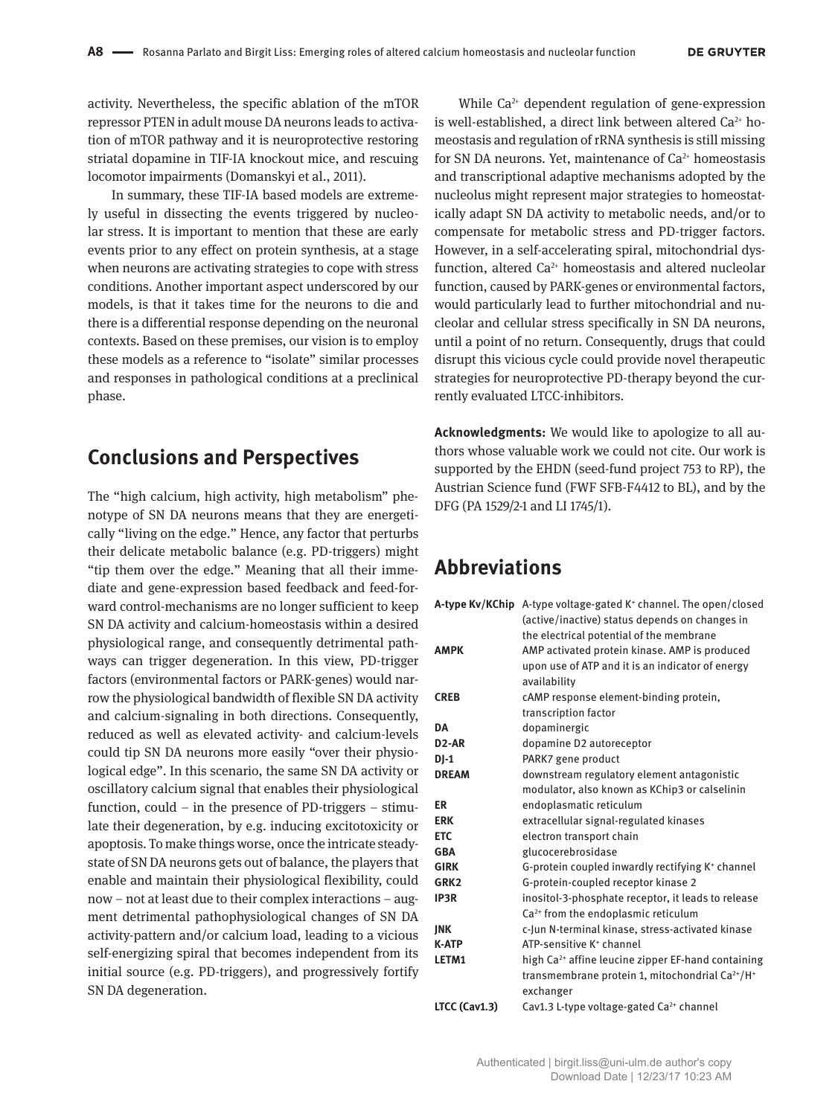activity. Nevertheless, the specific ablation of the mTOR repressor PTEN in adult mouse DA neurons leads to activation of mTOR pathway and it is neuroprotective restoring striatal dopamine in TIF-IA knockout mice, and rescuing locomotor impairments (Domanskyi et al., 2011).

In summary, these TIF-IA based models are extremely useful in dissecting the events triggered by nucleolar stress. It is important to mention that these are early events prior to any effect on protein synthesis, at a stage when neurons are activating strategies to cope with stress conditions. Another important aspect underscored by our models, is that it takes time for the neurons to die and there is a differential response depending on the neuronal contexts. Based on these premises, our vision is to employ these models as a reference to "isolate" similar processes and responses in pathological conditions at a preclinical phase.

#### **Conclusions and Perspectives**

The "high calcium, high activity, high metabolism" phenotype of SN DA neurons means that they are energetically "living on the edge." Hence, any factor that perturbs their delicate metabolic balance (e.g. PD-triggers) might "tip them over the edge." Meaning that all their immediate and gene-expression based feedback and feed-forward control-mechanisms are no longer sufficient to keep SN DA activity and calcium-homeostasis within a desired physiological range, and consequently detrimental pathways can trigger degeneration. In this view, PD-trigger factors (environmental factors or PARK-genes) would narrow the physiological bandwidth of flexible SN DA activity and calcium-signaling in both directions. Consequently, reduced as well as elevated activity- and calcium-levels could tip SN DA neurons more easily "over their physiological edge". In this scenario, the same SN DA activity or oscillatory calcium signal that enables their physiological function, could – in the presence of PD-triggers – stimulate their degeneration, by e.g. inducing excitotoxicity or apoptosis. To make things worse, once the intricate steadystate of SN DA neurons gets out of balance, the players that enable and maintain their physiological flexibility, could now – not at least due to their complex interactions – augment detrimental pathophysiological changes of SN DA activity-pattern and/or calcium load, leading to a vicious self-energizing spiral that becomes independent from its initial source (e.g. PD-triggers), and progressively fortify SN DA degeneration.

While  $Ca<sup>2+</sup>$  dependent regulation of gene-expression is well-established, a direct link between altered  $Ca^{2+}$  homeostasis and regulation of rRNA synthesis is still missing for SN DA neurons. Yet, maintenance of  $Ca<sup>2+</sup>$  homeostasis and transcriptional adaptive mechanisms adopted by the nucleolus might represent major strategies to homeostatically adapt SN DA activity to metabolic needs, and/or to compensate for metabolic stress and PD-trigger factors. However, in a self-accelerating spiral, mitochondrial dysfunction, altered  $Ca^{2+}$  homeostasis and altered nucleolar function, caused by PARK-genes or environmental factors, would particularly lead to further mitochondrial and nucleolar and cellular stress specifically in SN DA neurons, until a point of no return. Consequently, drugs that could disrupt this vicious cycle could provide novel therapeutic strategies for neuroprotective PD-therapy beyond the currently evaluated LTCC-inhibitors.

**Acknowledgments:** We would like to apologize to all authors whose valuable work we could not cite. Our work is supported by the EHDN (seed-fund project 753 to RP), the Austrian Science fund (FWF SFB-F4412 to BL), and by the DFG (PA 1529/2-1 and LI 1745/1).

## **Abbreviations**

| (active/inactive) status depends on changes in<br>the electrical potential of the membrane<br>AMP activated protein kinase. AMP is produced<br><b>AMPK</b><br>upon use of ATP and it is an indicator of energy<br>availability<br>cAMP response element-binding protein,<br><b>CREB</b><br>transcription factor<br>dopaminergic<br>DA<br>dopamine D2 autoreceptor<br>D <sub>2</sub> -AR<br>PARK7 gene product<br>$D$ -1<br>downstream regulatory element antagonistic<br><b>DREAM</b><br>modulator, also known as KChip3 or calselinin<br><b>ER</b><br>endoplasmatic reticulum<br>extracellular signal-regulated kinases<br><b>ERK</b><br><b>ETC</b><br>electron transport chain<br>glucocerebrosidase<br><b>GBA</b><br>G-protein coupled inwardly rectifying K <sup>+</sup> channel<br><b>GIRK</b><br>G-protein-coupled receptor kinase 2<br>GRK <sub>2</sub><br>inositol-3-phosphate receptor, it leads to release<br>IP3R<br>Ca <sup>2+</sup> from the endoplasmic reticulum<br>c-Jun N-terminal kinase, stress-activated kinase<br><b>JNK</b><br>ATP-sensitive K <sup>+</sup> channel<br>K-ATP<br>high Ca <sup>2+</sup> affine leucine zipper EF-hand containing<br>LETM1<br>transmembrane protein 1, mitochondrial Ca <sup>2+</sup> /H <sup>+</sup><br>exchanger | A-type Kv/KChip A-type voltage-gated K <sup>+</sup> channel. The open/closed |
|-----------------------------------------------------------------------------------------------------------------------------------------------------------------------------------------------------------------------------------------------------------------------------------------------------------------------------------------------------------------------------------------------------------------------------------------------------------------------------------------------------------------------------------------------------------------------------------------------------------------------------------------------------------------------------------------------------------------------------------------------------------------------------------------------------------------------------------------------------------------------------------------------------------------------------------------------------------------------------------------------------------------------------------------------------------------------------------------------------------------------------------------------------------------------------------------------------------------------------------------------------------------------|------------------------------------------------------------------------------|
|                                                                                                                                                                                                                                                                                                                                                                                                                                                                                                                                                                                                                                                                                                                                                                                                                                                                                                                                                                                                                                                                                                                                                                                                                                                                       |                                                                              |
|                                                                                                                                                                                                                                                                                                                                                                                                                                                                                                                                                                                                                                                                                                                                                                                                                                                                                                                                                                                                                                                                                                                                                                                                                                                                       |                                                                              |
|                                                                                                                                                                                                                                                                                                                                                                                                                                                                                                                                                                                                                                                                                                                                                                                                                                                                                                                                                                                                                                                                                                                                                                                                                                                                       |                                                                              |
|                                                                                                                                                                                                                                                                                                                                                                                                                                                                                                                                                                                                                                                                                                                                                                                                                                                                                                                                                                                                                                                                                                                                                                                                                                                                       |                                                                              |
|                                                                                                                                                                                                                                                                                                                                                                                                                                                                                                                                                                                                                                                                                                                                                                                                                                                                                                                                                                                                                                                                                                                                                                                                                                                                       |                                                                              |
|                                                                                                                                                                                                                                                                                                                                                                                                                                                                                                                                                                                                                                                                                                                                                                                                                                                                                                                                                                                                                                                                                                                                                                                                                                                                       |                                                                              |
|                                                                                                                                                                                                                                                                                                                                                                                                                                                                                                                                                                                                                                                                                                                                                                                                                                                                                                                                                                                                                                                                                                                                                                                                                                                                       |                                                                              |
|                                                                                                                                                                                                                                                                                                                                                                                                                                                                                                                                                                                                                                                                                                                                                                                                                                                                                                                                                                                                                                                                                                                                                                                                                                                                       |                                                                              |
|                                                                                                                                                                                                                                                                                                                                                                                                                                                                                                                                                                                                                                                                                                                                                                                                                                                                                                                                                                                                                                                                                                                                                                                                                                                                       |                                                                              |
|                                                                                                                                                                                                                                                                                                                                                                                                                                                                                                                                                                                                                                                                                                                                                                                                                                                                                                                                                                                                                                                                                                                                                                                                                                                                       |                                                                              |
|                                                                                                                                                                                                                                                                                                                                                                                                                                                                                                                                                                                                                                                                                                                                                                                                                                                                                                                                                                                                                                                                                                                                                                                                                                                                       |                                                                              |
|                                                                                                                                                                                                                                                                                                                                                                                                                                                                                                                                                                                                                                                                                                                                                                                                                                                                                                                                                                                                                                                                                                                                                                                                                                                                       |                                                                              |
|                                                                                                                                                                                                                                                                                                                                                                                                                                                                                                                                                                                                                                                                                                                                                                                                                                                                                                                                                                                                                                                                                                                                                                                                                                                                       |                                                                              |
|                                                                                                                                                                                                                                                                                                                                                                                                                                                                                                                                                                                                                                                                                                                                                                                                                                                                                                                                                                                                                                                                                                                                                                                                                                                                       |                                                                              |
|                                                                                                                                                                                                                                                                                                                                                                                                                                                                                                                                                                                                                                                                                                                                                                                                                                                                                                                                                                                                                                                                                                                                                                                                                                                                       |                                                                              |
|                                                                                                                                                                                                                                                                                                                                                                                                                                                                                                                                                                                                                                                                                                                                                                                                                                                                                                                                                                                                                                                                                                                                                                                                                                                                       |                                                                              |
|                                                                                                                                                                                                                                                                                                                                                                                                                                                                                                                                                                                                                                                                                                                                                                                                                                                                                                                                                                                                                                                                                                                                                                                                                                                                       |                                                                              |
|                                                                                                                                                                                                                                                                                                                                                                                                                                                                                                                                                                                                                                                                                                                                                                                                                                                                                                                                                                                                                                                                                                                                                                                                                                                                       |                                                                              |
|                                                                                                                                                                                                                                                                                                                                                                                                                                                                                                                                                                                                                                                                                                                                                                                                                                                                                                                                                                                                                                                                                                                                                                                                                                                                       |                                                                              |
|                                                                                                                                                                                                                                                                                                                                                                                                                                                                                                                                                                                                                                                                                                                                                                                                                                                                                                                                                                                                                                                                                                                                                                                                                                                                       |                                                                              |
|                                                                                                                                                                                                                                                                                                                                                                                                                                                                                                                                                                                                                                                                                                                                                                                                                                                                                                                                                                                                                                                                                                                                                                                                                                                                       |                                                                              |
|                                                                                                                                                                                                                                                                                                                                                                                                                                                                                                                                                                                                                                                                                                                                                                                                                                                                                                                                                                                                                                                                                                                                                                                                                                                                       |                                                                              |
|                                                                                                                                                                                                                                                                                                                                                                                                                                                                                                                                                                                                                                                                                                                                                                                                                                                                                                                                                                                                                                                                                                                                                                                                                                                                       |                                                                              |
|                                                                                                                                                                                                                                                                                                                                                                                                                                                                                                                                                                                                                                                                                                                                                                                                                                                                                                                                                                                                                                                                                                                                                                                                                                                                       |                                                                              |
|                                                                                                                                                                                                                                                                                                                                                                                                                                                                                                                                                                                                                                                                                                                                                                                                                                                                                                                                                                                                                                                                                                                                                                                                                                                                       |                                                                              |
| LTCC (Cav1.3)<br>Cav1.3 L-type voltage-gated Ca <sup>2+</sup> channel                                                                                                                                                                                                                                                                                                                                                                                                                                                                                                                                                                                                                                                                                                                                                                                                                                                                                                                                                                                                                                                                                                                                                                                                 |                                                                              |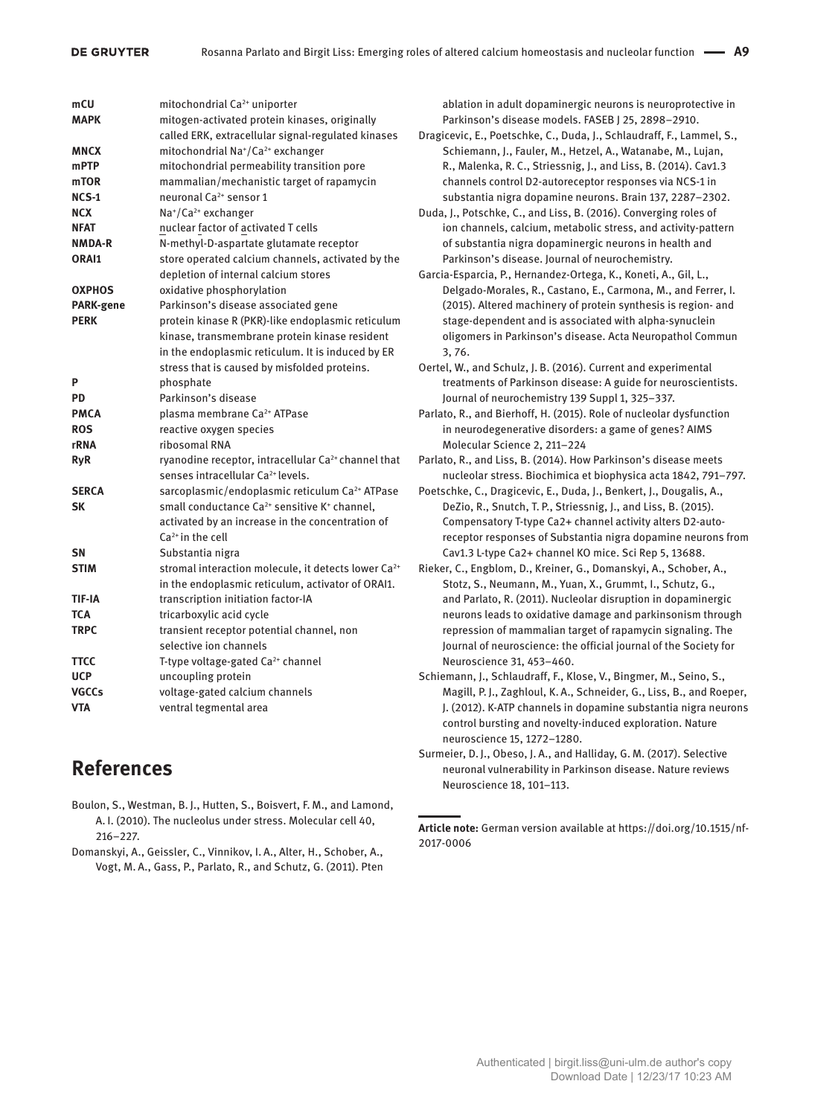| mCU              | mitochondrial Ca <sup>2+</sup> uniporter                             |
|------------------|----------------------------------------------------------------------|
| <b>MAPK</b>      | mitogen-activated protein kinases, originally                        |
|                  | called ERK, extracellular signal-regulated kinases                   |
| MNCX             | mitochondrial Na <sup>+</sup> /Ca <sup>2+</sup> exchanger            |
| mPTP             | mitochondrial permeability transition pore                           |
| mTOR             | mammalian/mechanistic target of rapamycin                            |
| $NCS-1$          | neuronal Ca <sup>2+</sup> sensor 1                                   |
| <b>NCX</b>       | Na <sup>+</sup> /Ca <sup>2+</sup> exchanger                          |
| <b>NFAT</b>      | nuclear factor of activated T cells                                  |
| NMDA-R           | N-methyl-D-aspartate glutamate receptor                              |
| ORAI1            | store operated calcium channels, activated by the                    |
|                  | depletion of internal calcium stores                                 |
| <b>OXPHOS</b>    | oxidative phosphorylation                                            |
| <b>PARK-gene</b> | Parkinson's disease associated gene                                  |
| <b>PERK</b>      | protein kinase R (PKR)-like endoplasmic reticulum                    |
|                  | kinase, transmembrane protein kinase resident                        |
|                  | in the endoplasmic reticulum. It is induced by ER                    |
|                  | stress that is caused by misfolded proteins.                         |
| P                | phosphate                                                            |
| <b>PD</b>        | Parkinson's disease                                                  |
| <b>PMCA</b>      | plasma membrane Ca <sup>2+</sup> ATPase                              |
| <b>ROS</b>       | reactive oxygen species                                              |
| <b>rRNA</b>      | ribosomal RNA                                                        |
| <b>RyR</b>       | ryanodine receptor, intracellular Ca <sup>2+</sup> channel that      |
|                  | senses intracellular Ca <sup>2+</sup> levels.                        |
| <b>SERCA</b>     | sarcoplasmic/endoplasmic reticulum Ca <sup>2+</sup> ATPase           |
| <b>SK</b>        | small conductance Ca <sup>2+</sup> sensitive K <sup>+</sup> channel, |
|                  | activated by an increase in the concentration of                     |
|                  | $Ca2+$ in the cell                                                   |
| SΝ               | Substantia nigra                                                     |
| <b>STIM</b>      | stromal interaction molecule, it detects lower Ca <sup>2+</sup>      |
|                  | in the endoplasmic reticulum, activator of ORAI1.                    |
| TIF-IA           | transcription initiation factor-IA                                   |
| <b>TCA</b>       | tricarboxylic acid cycle                                             |
| <b>TRPC</b>      | transient receptor potential channel, non                            |
|                  | selective ion channels                                               |
| <b>TTCC</b>      | T-type voltage-gated Ca <sup>2+</sup> channel                        |
| <b>UCP</b>       | uncoupling protein                                                   |
| <b>VGCCs</b>     | voltage-gated calcium channels                                       |
| <b>VTA</b>       | ventral tegmental area                                               |

## **References**

- Boulon, S., Westman, B. J., Hutten, S., Boisvert, F. M., and Lamond, A. I. (2010). The nucleolus under stress. Molecular cell 40, 216–227.
- Domanskyi, A., Geissler, C., Vinnikov, I. A., Alter, H., Schober, A., Vogt, M. A., Gass, P., Parlato, R., and Schutz, G. (2011). Pten

ablation in adult dopaminergic neurons is neuroprotective in Parkinson's disease models. FASEB J 25, 2898–2910.

- Dragicevic, E., Poetschke, C., Duda, J., Schlaudraff, F., Lammel, S., Schiemann, J., Fauler, M., Hetzel, A., Watanabe, M., Lujan, R., Malenka, R. C., Striessnig, J., and Liss, B. (2014). Cav1.3 channels control D2-autoreceptor responses via NCS-1 in substantia nigra dopamine neurons. Brain 137, 2287–2302.
- Duda, J., Potschke, C., and Liss, B. (2016). Converging roles of ion channels, calcium, metabolic stress, and activity-pattern of substantia nigra dopaminergic neurons in health and Parkinson's disease. Journal of neurochemistry.

```
Garcia-Esparcia, P., Hernandez-Ortega, K., Koneti, A., Gil, L., 
Delgado-Morales, R., Castano, E., Carmona, M., and Ferrer, I. 
(2015). Altered machinery of protein synthesis is region- and 
stage-dependent and is associated with alpha-synuclein 
oligomers in Parkinson's disease. Acta Neuropathol Commun 
3, 76.
```
Oertel, W., and Schulz, J. B. (2016). Current and experimental treatments of Parkinson disease: A guide for neuroscientists. Journal of neurochemistry 139 Suppl 1, 325–337.

Parlato, R., and Bierhoff, H. (2015). Role of nucleolar dysfunction in neurodegenerative disorders: a game of genes? AIMS Molecular Science 2, 211–224

Parlato, R., and Liss, B. (2014). How Parkinson's disease meets nucleolar stress. Biochimica et biophysica acta 1842, 791–797.

Poetschke, C., Dragicevic, E., Duda, J., Benkert, J., Dougalis, A., DeZio, R., Snutch, T. P., Striessnig, J., and Liss, B. (2015). Compensatory T-type Ca2+ channel activity alters D2-autoreceptor responses of Substantia nigra dopamine neurons from Cav1.3 L-type Ca2+ channel KO mice. Sci Rep 5, 13688.

- Rieker, C., Engblom, D., Kreiner, G., Domanskyi, A., Schober, A., Stotz, S., Neumann, M., Yuan, X., Grummt, I., Schutz, G., and Parlato, R. (2011). Nucleolar disruption in dopaminergic neurons leads to oxidative damage and parkinsonism through repression of mammalian target of rapamycin signaling. The Journal of neuroscience: the official journal of the Society for Neuroscience 31, 453–460.
- Schiemann, J., Schlaudraff, F., Klose, V., Bingmer, M., Seino, S., Magill, P. J., Zaghloul, K. A., Schneider, G., Liss, B., and Roeper, J. (2012). K-ATP channels in dopamine substantia nigra neurons control bursting and novelty-induced exploration. Nature neuroscience 15, 1272–1280.
- Surmeier, D. J., Obeso, J. A., and Halliday, G. M. (2017). Selective neuronal vulnerability in Parkinson disease. Nature reviews Neuroscience 18, 101–113.

**Article note:** German version available at https://doi.org/10.1515/nf-2017-0006